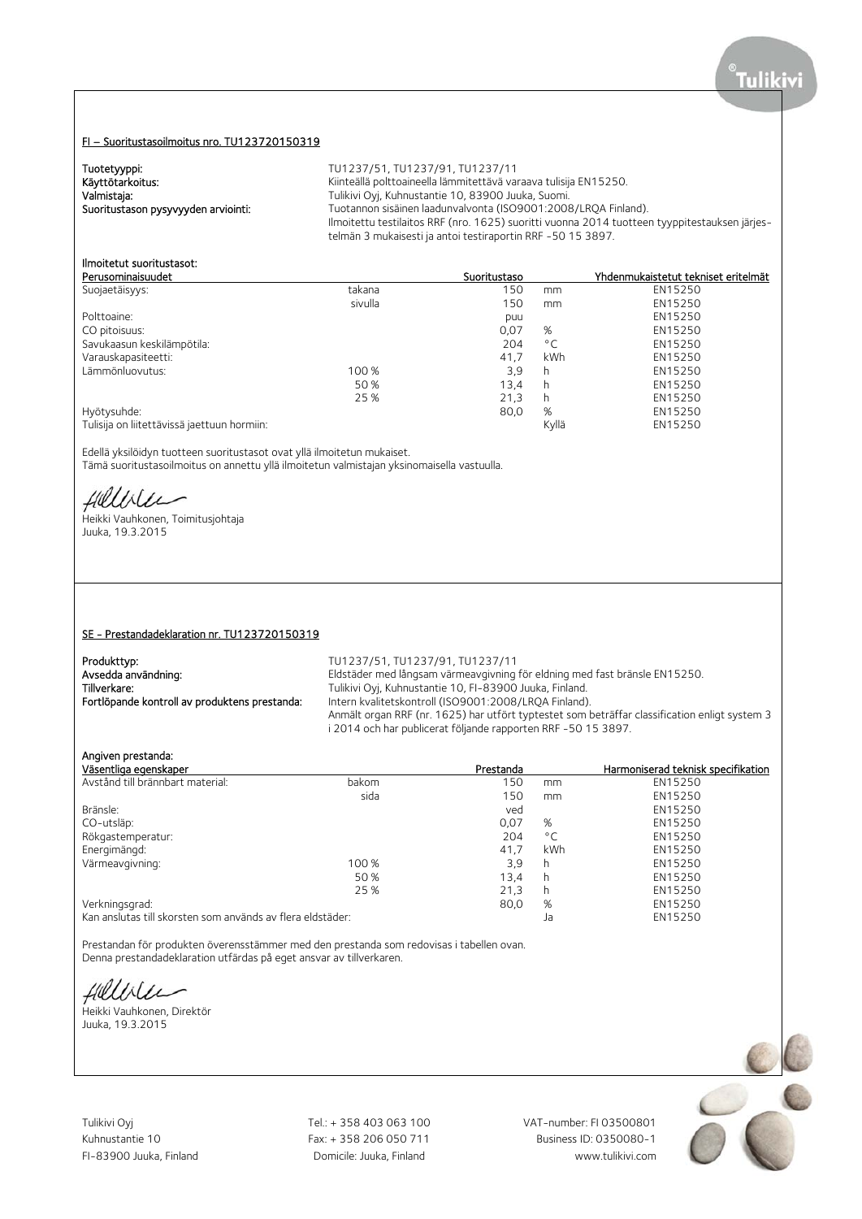#### FI – Suoritustasoilmoitus nro. TU123720150319

Tuotetyyppi:<br>
Käyttötarkoitus: TU1237/51, TU1237/91, TU1237/11<br>
Kiinteällä polttoaineella lämmitettävä vai Käyttötarkoitus: Käyttötarkoitus: Käyttötarkoitus: Käyttötarkoitus: Käyttötarkoitus: Käyttötarkoitus: Kuhnustantie 10, 83900 Juuka, Suomi. Valmistaja: Tulikivi Oyj, Kuhnustantie 10, 83900 Juuka, Suomi. Tuotannon sisäinen laadunvalvonta (ISO9001:2008/LRQA Finland). Ilmoitettu testilaitos RRF (nro. 1625) suoritti vuonna 2014 tuotteen tyyppitestauksen järjestelmän 3 mukaisesti ja antoi testiraportin RRF -50 15 3897.

# Ilmoitetut suoritustasot:

| Perusominaisuudet                           |         | Suoritustaso |              | Yhdenmukaistetut tekniset eritelmät |
|---------------------------------------------|---------|--------------|--------------|-------------------------------------|
| Suojaetäisyys:                              | takana  | 150          | mm           | EN15250                             |
|                                             | sivulla | 150          | mm           | EN15250                             |
| Polttoaine:                                 |         | puu          |              | EN15250                             |
| CO pitoisuus:                               |         | 0,07         | %            | EN15250                             |
| Savukaasun keskilämpötila:                  |         | 204          | $^{\circ}$ C | EN15250                             |
| Varauskapasiteetti:                         |         | 41.7         | kWh          | EN15250                             |
| Lämmönluovutus:                             | 100 %   | 3,9          | h            | EN15250                             |
|                                             | 50 %    | 13.4         | h            | EN15250                             |
|                                             | 25 %    | 21,3         | h            | EN15250                             |
| Hyötysuhde:                                 |         | 80,0         | %            | EN15250                             |
| Tulisija on liitettävissä jaettuun hormiin: |         |              | Kyllä        | EN15250                             |

Edellä yksilöidyn tuotteen suoritustasot ovat yllä ilmoitetun mukaiset. Tämä suoritustasoilmoitus on annettu yllä ilmoitetun valmistajan yksinomaisella vastuulla.

Hillble

Heikki Vauhkonen, Toimitusjohtaja Juuka, 19.3.2015

## SE - Prestandadeklaration nr. TU123720150319

Produkttyp: TU1237/51, TU1237/91, TU1237/11

Avsedda användning: Eldstäder med långsam värmeavgivning för eldning med fast bränsle EN15250.<br>Tillverkare: Tulikivi Ovi. Kuhnustantie 10. FI-83900 Juuka. Finland. Tulikivi Oyj, Kuhnustantie 10, FI-83900 Juuka, Finland. Fortlöpande kontroll av produktens prestanda: Intern kvalitetskontroll (ISO9001:2008/LRQA Finland). Anmält organ RRF (nr. 1625) har utfört typtestet som beträffar classification enligt system 3 i 2014 och har publicerat följande rapporten RRF -50 15 3897.

## Angiven prestanda:

| Väsentliga egenskaper                                      |       | Prestanda |              | Harmoniserad teknisk specifikation |
|------------------------------------------------------------|-------|-----------|--------------|------------------------------------|
| Avstånd till brännbart material:                           | bakom | 150       | mm           | EN15250                            |
|                                                            | sida  | 150       | mm           | EN15250                            |
| Bränsle:                                                   |       | ved       |              | EN15250                            |
| CO-utsläp:                                                 |       | 0,07      | %            | EN15250                            |
| Rökgastemperatur:                                          |       | 204       | $^{\circ}$ C | EN15250                            |
| Energimängd:                                               |       | 41.7      | kWh          | EN15250                            |
| Värmeavgivning:                                            | 100 % | 3.9       | h            | EN15250                            |
|                                                            | 50 %  | 13,4      | h            | EN15250                            |
|                                                            | 25 %  | 21,3      | h            | EN15250                            |
| Verkningsgrad:                                             |       | 80.0      | %            | EN15250                            |
| Kan anslutas till skorsten som används av flera eldstäder: |       |           | Ja           | EN15250                            |

Prestandan för produkten överensstämmer med den prestanda som redovisas i tabellen ovan. Denna prestandadeklaration utfärdas på eget ansvar av tillverkaren.

fillisen

Heikki Vauhkonen, Direktör Juuka, 19.3.2015

Tulikivi Oyj Tel.: + 358 403 063 100 VAT-number: FI 03500801

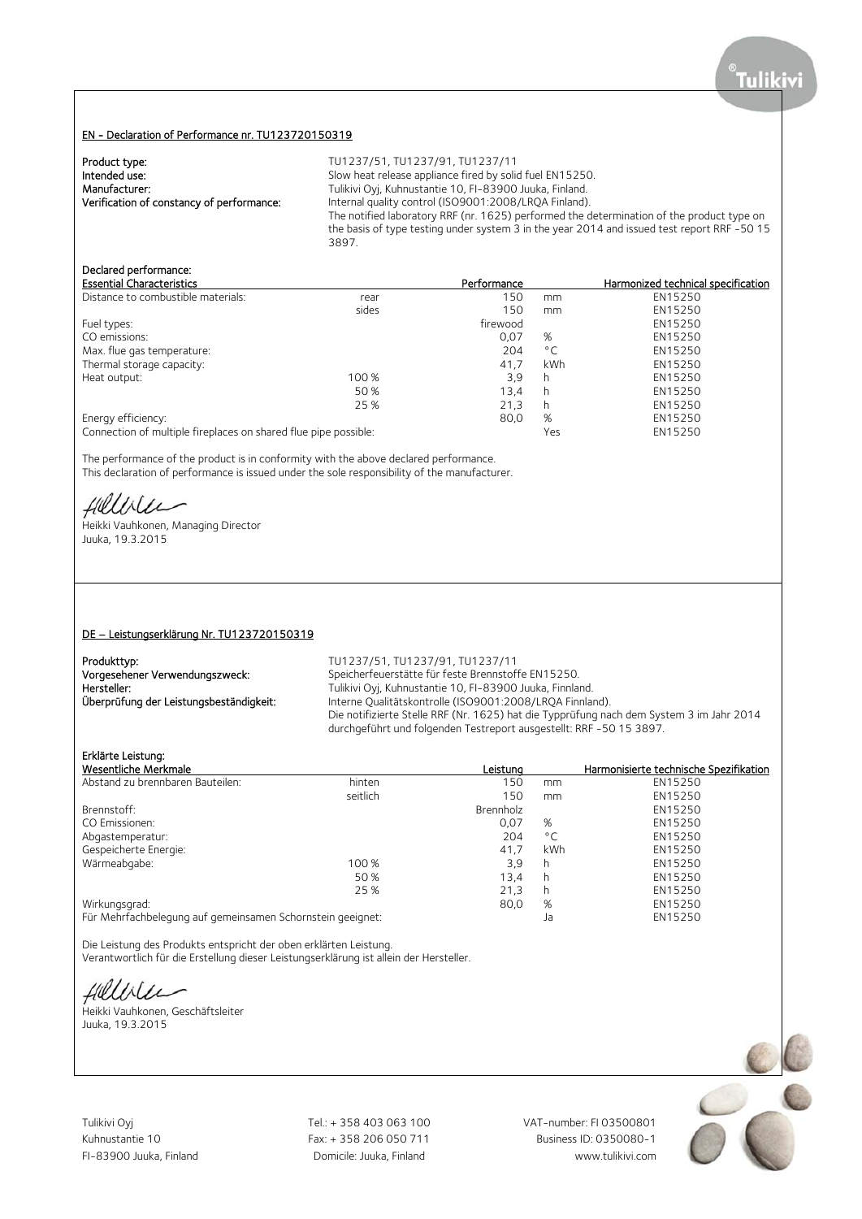## EN - Declaration of Performance nr. TU123720150319

| TU1237/51, TU1237/91, TU1237/11                                                             |
|---------------------------------------------------------------------------------------------|
| Slow heat release appliance fired by solid fuel EN15250.                                    |
| Tulikivi Oyj, Kuhnustantie 10, FI-83900 Juuka, Finland.                                     |
| Internal quality control (ISO9001:2008/LROA Finland).                                       |
| The notified laboratory RRF (nr. 1625) performed the determination of the product type on   |
| the basis of type testing under system 3 in the year 2014 and issued test report RRF -50 15 |
| 3897.                                                                                       |
|                                                                                             |

# Declared performance:

| <b>Essential Characteristics</b>                                |       | Performance |              | Harmonized technical specification |
|-----------------------------------------------------------------|-------|-------------|--------------|------------------------------------|
| Distance to combustible materials:                              | rear  | 150         | mm           | EN15250                            |
|                                                                 | sides | 150         | mm           | EN15250                            |
| Fuel types:                                                     |       | firewood    |              | EN15250                            |
| CO emissions:                                                   |       | 0.07        | %            | EN15250                            |
| Max. flue gas temperature:                                      |       | 204         | $^{\circ}$ C | EN15250                            |
| Thermal storage capacity:                                       |       | 41.7        | kWh          | EN15250                            |
| Heat output:                                                    | 100 % | 3.9         | h            | EN15250                            |
|                                                                 | 50 %  | 13.4        | h            | EN15250                            |
|                                                                 | 25 %  | 21,3        | h            | EN15250                            |
| Energy efficiency:                                              |       | 80,0        | %            | EN15250                            |
| Connection of multiple fireplaces on shared flue pipe possible: |       |             | Yes          | EN15250                            |

The performance of the product is in conformity with the above declared performance. This declaration of performance is issued under the sole responsibility of the manufacturer.

Hillble

Heikki Vauhkonen, Managing Director Juuka, 19.3.2015

#### DE – Leistungserklärung Nr. TU123720150319

| Produkttyp:                             |  |
|-----------------------------------------|--|
| Vorgesehener Verwendungszweck:          |  |
| Hersteller:                             |  |
| Überprüfung der Leistungsbeständigkeit: |  |

Produkttyp: TU1237/51, TU1237/91, TU1237/11 Speicherfeuerstätte für feste Brennstoffe EN15250. Hersteller: Tulikivi Oyj, Kuhnustantie 10, FI-83900 Juuka, Finnland. Interne Qualitätskontrolle (ISO9001:2008/LRQA Finnland). Die notifizierte Stelle RRF (Nr. 1625) hat die Typprüfung nach dem System 3 im Jahr 2014 durchgeführt und folgenden Testreport ausgestellt: RRF -50 15 3897.

## Erklärte Leistung:

| Wesentliche Merkmale                                       |          | Leistuna  |              | Harmonisierte technische Spezifikation |
|------------------------------------------------------------|----------|-----------|--------------|----------------------------------------|
| Abstand zu brennbaren Bauteilen:                           | hinten   | 150       | mm           | EN15250                                |
|                                                            | seitlich | 150       | mm           | EN15250                                |
| Brennstoff:                                                |          | Brennholz |              | EN15250                                |
| CO Emissionen:                                             |          | 0,07      | %            | EN15250                                |
| Abgastemperatur:                                           |          | 204       | $^{\circ}$ C | EN15250                                |
| Gespeicherte Energie:                                      |          | 41.7      | <b>kWh</b>   | EN15250                                |
| Wärmeabgabe:                                               | 100 %    | 3,9       | h            | EN15250                                |
|                                                            | 50 %     | 13.4      | h            | EN15250                                |
|                                                            | 25 %     | 21.3      | h            | EN15250                                |
| Wirkungsgrad:                                              |          | 80,0      | %            | EN15250                                |
| Für Mehrfachbelegung auf gemeinsamen Schornstein geeignet: |          |           | Ja           | EN15250                                |

Die Leistung des Produkts entspricht der oben erklärten Leistung. Verantwortlich für die Erstellung dieser Leistungserklärung ist allein der Hersteller.

fillisen

Heikki Vauhkonen, Geschäftsleiter Juuka, 19.3.2015

Tulikivi Oyj Tel.: + 358 403 063 100 VAT-number: FI 03500801

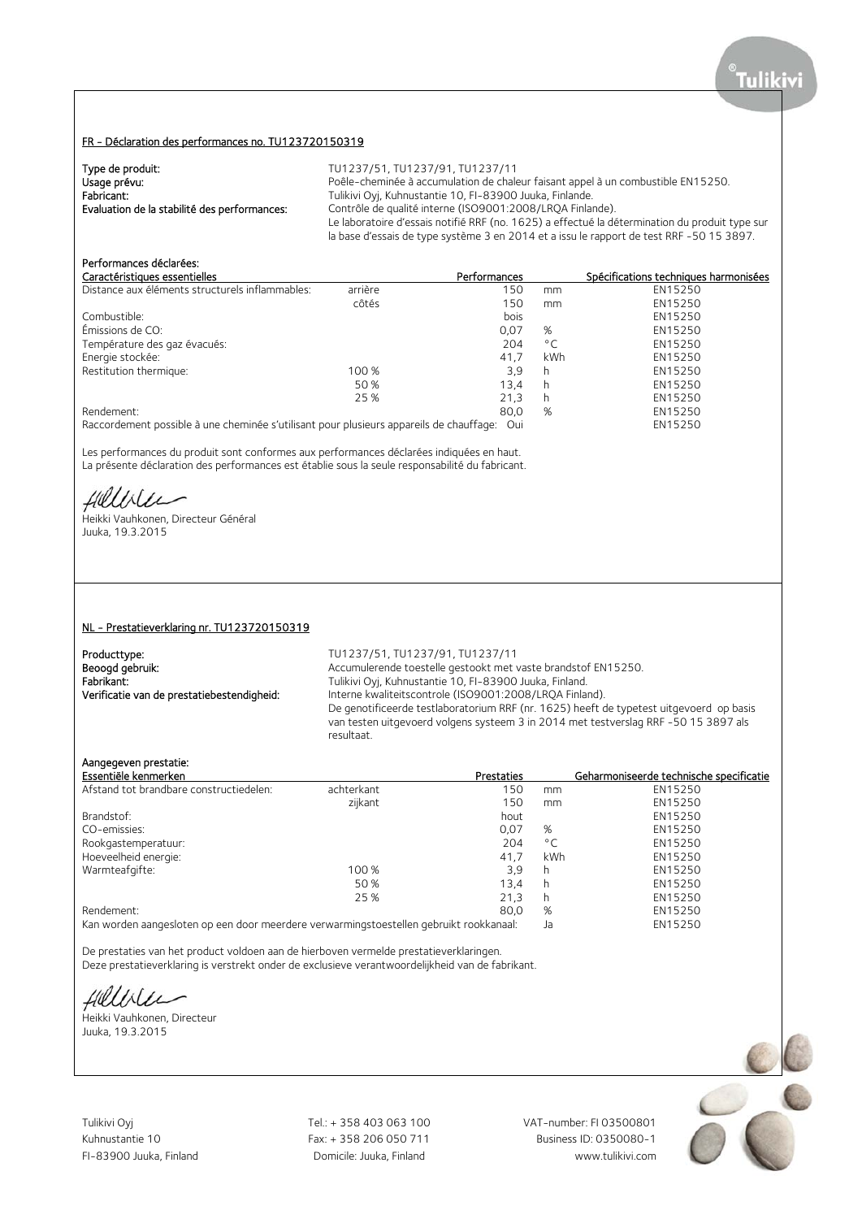## FR - Déclaration des performances no. TU123720150319

| Type de produit:                             | TU1237/51, TU1237/91, TU1237/11                                                                |
|----------------------------------------------|------------------------------------------------------------------------------------------------|
| Usage prévu:                                 | Poêle-cheminée à accumulation de chaleur faisant appel à un combustible EN15250.               |
| Fabricant:                                   | Tulikivi Oyj, Kuhnustantie 10, FI-83900 Juuka, Finlande.                                       |
| Evaluation de la stabilité des performances: | Contrôle de qualité interne (ISO9001:2008/LRQA Finlande).                                      |
|                                              | Le laboratoire d'essais notifié RRF (no. 1625) a effectué la détermination du produit type sur |
|                                              | la base d'essais de type système 3 en 2014 et a issu le rapport de test RRF -50 15 3897.       |

# Performances déclarées:

| Caractéristiques essentielles                                                                                               |       | Performances                                |                |              | Spécifications techniques harmonisées |
|-----------------------------------------------------------------------------------------------------------------------------|-------|---------------------------------------------|----------------|--------------|---------------------------------------|
| Distance aux éléments structurels inflammables:<br>arrière                                                                  |       | 150                                         |                | mm           | EN15250                               |
|                                                                                                                             | côtés |                                             | 150            | mm           | EN15250                               |
| Combustible:                                                                                                                |       |                                             | bois           |              | EN15250                               |
| Émissions de CO:                                                                                                            |       |                                             | 0.07           | %            | EN15250                               |
| Température des gaz évacués:                                                                                                |       |                                             | 204            | $^{\circ}$ C | EN15250                               |
| Energie stockée:                                                                                                            |       |                                             | 41.7           | kWh          | EN15250                               |
| Restitution thermique:                                                                                                      | 100 % |                                             | 3.9            | h            | EN15250                               |
|                                                                                                                             | 50 %  |                                             | 13.4           | h            | EN15250                               |
|                                                                                                                             | 25 %  |                                             | 21,3           | h            | EN15250                               |
| Rendement:                                                                                                                  |       |                                             | 80.0           | %            | EN15250                               |
| the contract of the contract of the contract of the contract of the contract of the contract of the contract of<br>$\cdots$ |       | $\mathbf{H}$ and $\mathbf{H}$<br>$\epsilon$ | $\sim$ $\cdot$ |              | $-111 - 220$                          |

Raccordement possible à une cheminée s'utilisant pour plusieurs appareils de chauffage: Oui EN15250

Les performances du produit sont conformes aux performances déclarées indiquées en haut. La présente déclaration des performances est établie sous la seule responsabilité du fabricant.

Hillble

Heikki Vauhkonen, Directeur Général Juuka, 19.3.2015

## NL - Prestatieverklaring nr. TU123720150319

Producttype: TU1237/51, TU1237/91, TU1237/91, TU1237/11<br>
Beoogd gebruik: TU1237/51, Accumulerende toestelle gestookt met

Accumulerende toestelle gestookt met vaste brandstof EN15250. Fabrikant: Tulikivi Oyj, Kuhnustantie 10, FI-83900 Juuka, Finland.<br>1. Tulikivi Oyj, Kuhnustantie 10, FI-83900 Juuka, Finland. Verificatie van de prestatiebestendigheid: Interne Interne kwaliteitscontrole (ISO9001:2008/LRQA Finland). De genotificeerde testlaboratorium RRF (nr. 1625) heeft de typetest uitgevoerd op basis van testen uitgevoerd volgens systeem 3 in 2014 met testverslag RRF -50 15 3897 als resultaat.

# Aangegeven prestatie:

| Essentiële kenmerken                    |            | <b>Prestaties</b> |              | Geharmoniseerde technische specificatie |
|-----------------------------------------|------------|-------------------|--------------|-----------------------------------------|
| Afstand tot brandbare constructiedelen: | achterkant | 150               | mm           | EN15250                                 |
|                                         | zijkant    | 150               | mm           | EN15250                                 |
| Brandstof:                              |            | hout              |              | EN15250                                 |
| CO-emissies:                            |            | 0,07              | %            | EN15250                                 |
| Rookgastemperatuur:                     |            | 204               | $^{\circ}$ C | EN15250                                 |
| Hoeveelheid energie:                    |            | 41.7              | kWh          | EN15250                                 |
| Warmteafgifte:                          | 100 %      | 3.9               | h            | EN15250                                 |
|                                         | 50%        | 13.4              | h            | EN15250                                 |
|                                         | 25 %       | 21.3              | h            | EN15250                                 |
| Rendement:                              |            | 80,0              | %            | EN15250                                 |
|                                         |            |                   |              | FULLED FO                               |

Kan worden aangesloten op een door meerdere verwarmingstoestellen gebruikt rookkanaal: Ja EN15250

De prestaties van het product voldoen aan de hierboven vermelde prestatieverklaringen. Deze prestatieverklaring is verstrekt onder de exclusieve verantwoordelijkheid van de fabrikant.

Hillble

Heikki Vauhkonen, Directeur Juuka, 19.3.2015

Tulikivi Oyj Tel.: + 358 403 063 100 VAT-number: FI 03500801

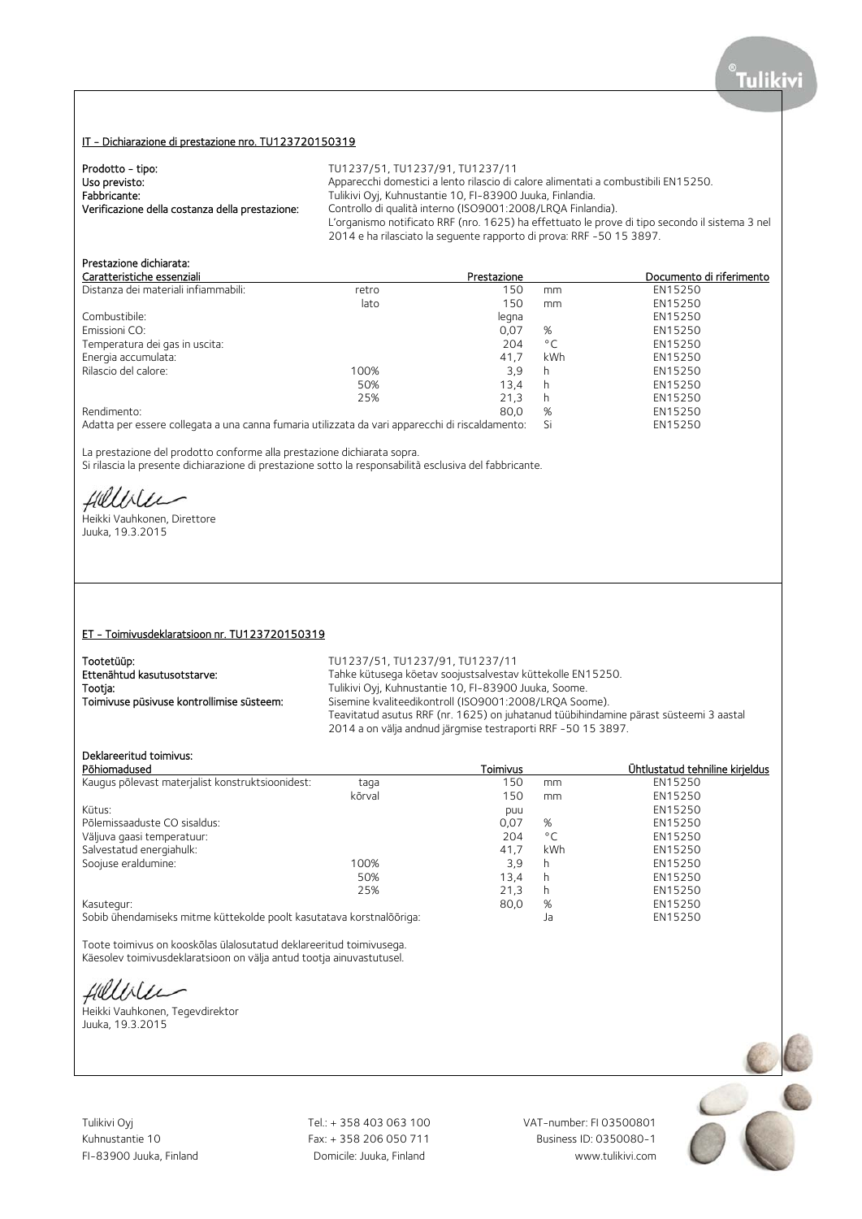## IT - Dichiarazione di prestazione nro. TU123720150319

| Prodotto - tipo:                                | TU1237/51. TU1237/91. TU1237/11                                                                |
|-------------------------------------------------|------------------------------------------------------------------------------------------------|
| Uso previsto:                                   | Apparecchi domestici a lento rilascio di calore alimentati a combustibili EN15250.             |
| Fabbricante:                                    | Tulikivi Oyj, Kuhnustantie 10, FI-83900 Juuka, Finlandia.                                      |
| Verificazione della costanza della prestazione: | Controllo di qualità interno (ISO9001:2008/LROA Finlandia).                                    |
|                                                 | L'organismo notificato RRF (nro. 1625) ha effettuato le prove di tipo secondo il sistema 3 nel |
|                                                 | 2014 e ha rilasciato la sequente rapporto di prova: RRF -50 15 3897.                           |

# Prestazione dichiarata:

| Caratteristiche essenziali                                                                                                                                                                                                        |       | Prestazione |              | Documento di riferimento |
|-----------------------------------------------------------------------------------------------------------------------------------------------------------------------------------------------------------------------------------|-------|-------------|--------------|--------------------------|
| Distanza dei materiali infiammabili:                                                                                                                                                                                              | retro | 150         | mm           | EN15250                  |
|                                                                                                                                                                                                                                   | lato  | 150         | mm           | EN15250                  |
| Combustibile:                                                                                                                                                                                                                     |       | legna       |              | EN15250                  |
| Emissioni CO:                                                                                                                                                                                                                     |       | 0,07        | %            | EN15250                  |
| Temperatura dei gas in uscita:                                                                                                                                                                                                    |       | 204         | $^{\circ}$ C | EN15250                  |
| Energia accumulata:                                                                                                                                                                                                               |       | 41.7        | kWh          | EN15250                  |
| Rilascio del calore:                                                                                                                                                                                                              | 100%  | 3,9         | h            | EN15250                  |
|                                                                                                                                                                                                                                   | 50%   | 13.4        | h            | EN15250                  |
|                                                                                                                                                                                                                                   | 25%   | 21.3        | h            | EN15250                  |
| Rendimento:                                                                                                                                                                                                                       |       | 80.0        | %            | EN15250                  |
| $\mathbf{A}$ . The contract of the contract of the contract of the contract of the contract of the contract of the contract of the contract of the contract of the contract of the contract of the contract of the contract of th |       |             |              | FULLED FO                |

Adatta per essere collegata a una canna fumaria utilizzata da vari apparecchi di riscaldamento: Si EN15250

La prestazione del prodotto conforme alla prestazione dichiarata sopra.

Si rilascia la presente dichiarazione di prestazione sotto la responsabilità esclusiva del fabbricante.

Hillble

Heikki Vauhkonen, Direttore Juuka, 19.3.2015

## ET - Toimivusdeklaratsioon nr. TU123720150319

Tootetüüp:<br>
TU1237/51, TU1237/91, TU1237/91, TU1237/91, TU1237/91<br>
Tahke kütusega kõetav soojustsalvestav

Ettenähtud kasutusotstarve: Tahke kütusega köetav soojustsalvestav küttekolle EN15250.<br>Tulikivi Ovi Kuhnustantie 10 FL-83900 luuka Soome Tulikivi Oyj, Kuhnustantie 10, FI-83900 Juuka, Soome. Toimivuse püsivuse kontrollimise süsteem: Sisemine kvaliteedikontroll (ISO9001:2008/LRQA Soome). Teavitatud asutus RRF (nr. 1625) on juhatanud tüübihindamine pärast süsteemi 3 aastal 2014 a on välja andnud järgmise testraporti RRF -50 15 3897.

## Deklareeritud toimivus:

| Põhiomadused                                                         |        | Toimivus |              | Ühtlustatud tehniline kirieldus |
|----------------------------------------------------------------------|--------|----------|--------------|---------------------------------|
| Kaugus põlevast materjalist konstruktsioonidest:                     | taga   | 150      | mm           | EN15250                         |
|                                                                      | kõrval | 150      | mm           | EN15250                         |
| Kütus:                                                               |        | puu      |              | EN15250                         |
| Põlemissaaduste CO sisaldus:                                         |        | 0,07     | %            | EN15250                         |
| Väljuva gaasi temperatuur:                                           |        | 204      | $^{\circ}$ C | EN15250                         |
| Salvestatud energiahulk:                                             |        | 41.7     | kWh          | EN15250                         |
| Soojuse eraldumine:                                                  | 100%   | 3.9      | h            | EN15250                         |
|                                                                      | 50%    | 13,4     | h            | EN15250                         |
|                                                                      | 25%    | 21,3     | h            | EN15250                         |
| Kasutegur:                                                           |        | 80,0     | %            | EN15250                         |
| Sobib ühendamiseks mitme küttekolde poolt kasutatava korstnalõõriga: |        |          | Ja           | EN15250                         |

Toote toimivus on kooskõlas ülalosutatud deklareeritud toimivusega. Käesolev toimivusdeklaratsioon on välja antud tootja ainuvastutusel.

Hilliler

Heikki Vauhkonen, Tegevdirektor Juuka, 19.3.2015

Tulikivi Oyj Tel.: + 358 403 063 100 VAT-number: FI 03500801

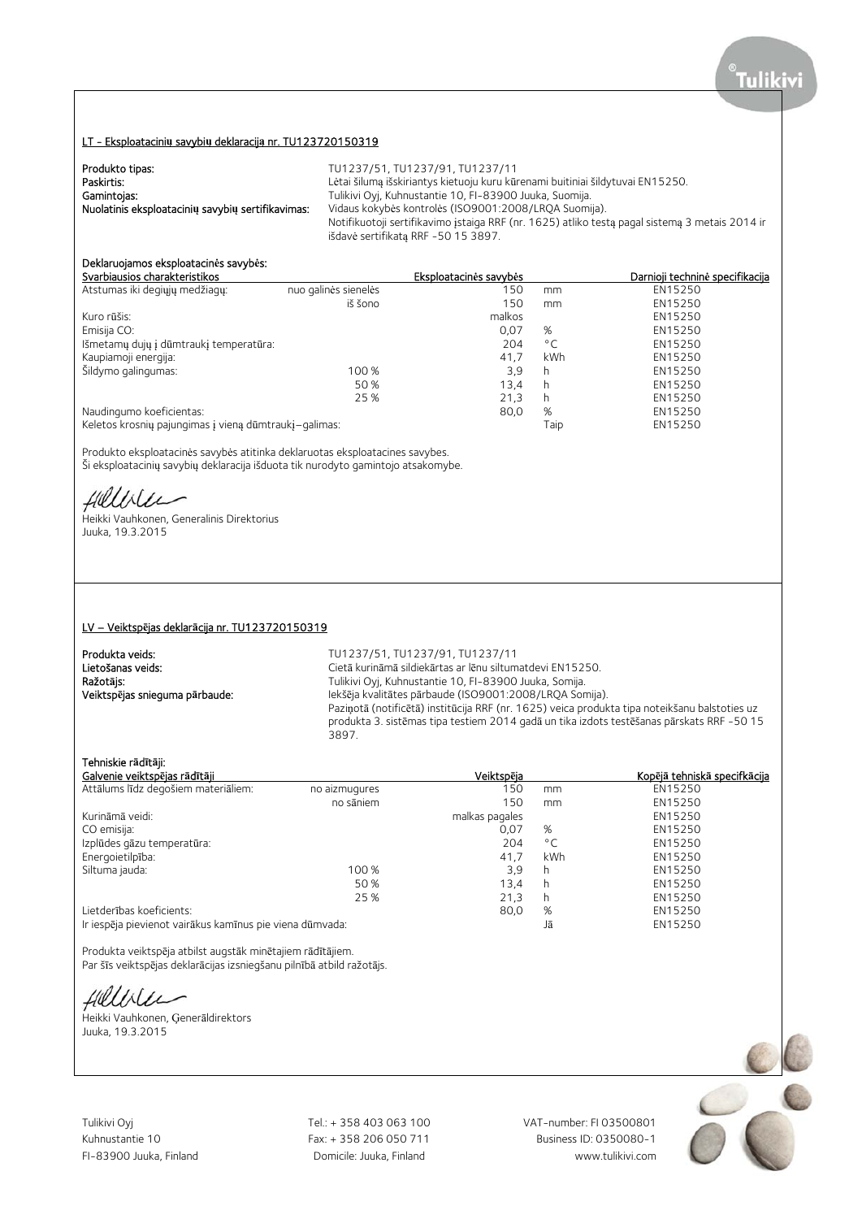## LT - Eksploatacini**ų** savybi**ų** deklaracij**ą** nr. TU123720150319

| Produkto tipas:                                   | TU1237/51. TU1237/91. TU1237/11                                                                |
|---------------------------------------------------|------------------------------------------------------------------------------------------------|
| Paskirtis:                                        | Lėtai šilumą išskiriantys kietuoju kuru kūrenami buitiniai šildytuvai EN15250.                 |
| Gamintojas:                                       | Tulikivi Oyj, Kuhnustantie 10, FI-83900 Juuka, Suomija.                                        |
| Nuolatinis eksploatacinių savybių sertifikavimas: | Vidaus kokybės kontrolės (ISO9001:2008/LRQA Suomija).                                          |
|                                                   | Notifikuotoji sertifikavimo įstaiga RRF (nr. 1625) atliko testą pagal sistemą 3 metais 2014 ir |
|                                                   | išdavė sertifikatą RRF -50 15 3897.                                                            |

# Deklaruojamos eksploatacin**ė**s savyb**ė**s:

|                      | Eksploatacinės savybės                                |              | Darnioji techninė specifikacija |
|----------------------|-------------------------------------------------------|--------------|---------------------------------|
| nuo galinės sienelės | 150                                                   | mm           | EN15250                         |
| iš šono              | 150                                                   | mm           | EN15250                         |
|                      | malkos                                                |              | EN15250                         |
|                      | 0,07                                                  | %            | EN15250                         |
|                      | 204                                                   | $^{\circ}$ C | EN15250                         |
|                      | 41.7                                                  | kWh          | EN15250                         |
| 100 %                | 3.9                                                   | h            | EN15250                         |
| 50 %                 | 13,4                                                  | h            | EN15250                         |
| 25 %                 | 21,3                                                  | h            | EN15250                         |
|                      | 80,0                                                  | %            | EN15250                         |
|                      |                                                       | Taip         | EN15250                         |
|                      | Keletos krosnių pajungimas į vieną dūmtraukį-galimas: |              |                                 |

Produkto eksploatacinės savybės atitinka deklaruotas eksploatacines savybes. Ši eksploatacinių savybių deklaracija išduota tik nurodyto gamintojo atsakomybe.

Hillble

Heikki Vauhkonen, Generalinis Direktorius Juuka, 19.3.2015

## LV – Veiktsp**ē**jas deklar**ā**cija nr. TU123720150319

## **Produkta veids:** TU1237/51, TU1237/91, TU1237/11<br> **Lietošanas veids:** Tuber of Tuber Cietā kurināmā sildiekārtas ar lēnu siltum Cietā kurināmā sildiekārtas ar lēnu siltumatdevi EN15250. Ražot**ā**js: Tulikivi Oyj, Kuhnustantie 10, FI-83900 Juuka, Somija. Veiktsp**ē**jas snieguma p**ā**rbaude: Iekšēja kvalitātes pārbaude (ISO9001:2008/LRQA Somija).

Paziņotā (notificētā) institūcija RRF (nr. 1625) veica produkta tipa noteikšanu balstoties uz produkta 3. sistēmas tipa testiem 2014 gadā un tika izdots testēšanas pārskats RRF -50 15 3897.

## Tehniskie r**ā**d**ī**t**ā**ji:

| Galvenie veiktspējas rādītāji                            |               | Veiktspēja     |              | Kopējā tehniskā specifkācija |
|----------------------------------------------------------|---------------|----------------|--------------|------------------------------|
| Attālums līdz degošiem materiāliem:                      | no aizmugures | 150            | mm           | EN15250                      |
|                                                          | no sāniem     | 150            | mm           | EN15250                      |
| Kurināmā veidi:                                          |               | malkas pagales |              | EN15250                      |
| CO emisija:                                              |               | 0,07           | %            | EN15250                      |
| Izplūdes gāzu temperatūra:                               |               | 204            | $^{\circ}$ C | EN15250                      |
| Energoietilpība:                                         |               | 41.7           | kWh          | EN15250                      |
| Siltuma jauda:                                           | 100 %         | 3.9            | h            | EN15250                      |
|                                                          | 50 %          | 13.4           | h            | EN15250                      |
|                                                          | 25 %          | 21.3           | h            | EN15250                      |
| Lietderības koeficients:                                 |               | 80,0           | %            | EN15250                      |
| Ir iespēja pievienot vairākus kamīnus pie viena dūmvada: |               |                | Jā           | EN15250                      |

Produkta veiktspēja atbilst augstāk minētajiem rādītājiem. Par šīs veiktspējas deklarācijas izsniegšanu pilnībā atbild ražotājs.

fielliter

Heikki Vauhkonen, Ģenerāldirektors Juuka, 19.3.2015

Tulikivi Oyj Tel.: + 358 403 063 100 VAT-number: FI 03500801

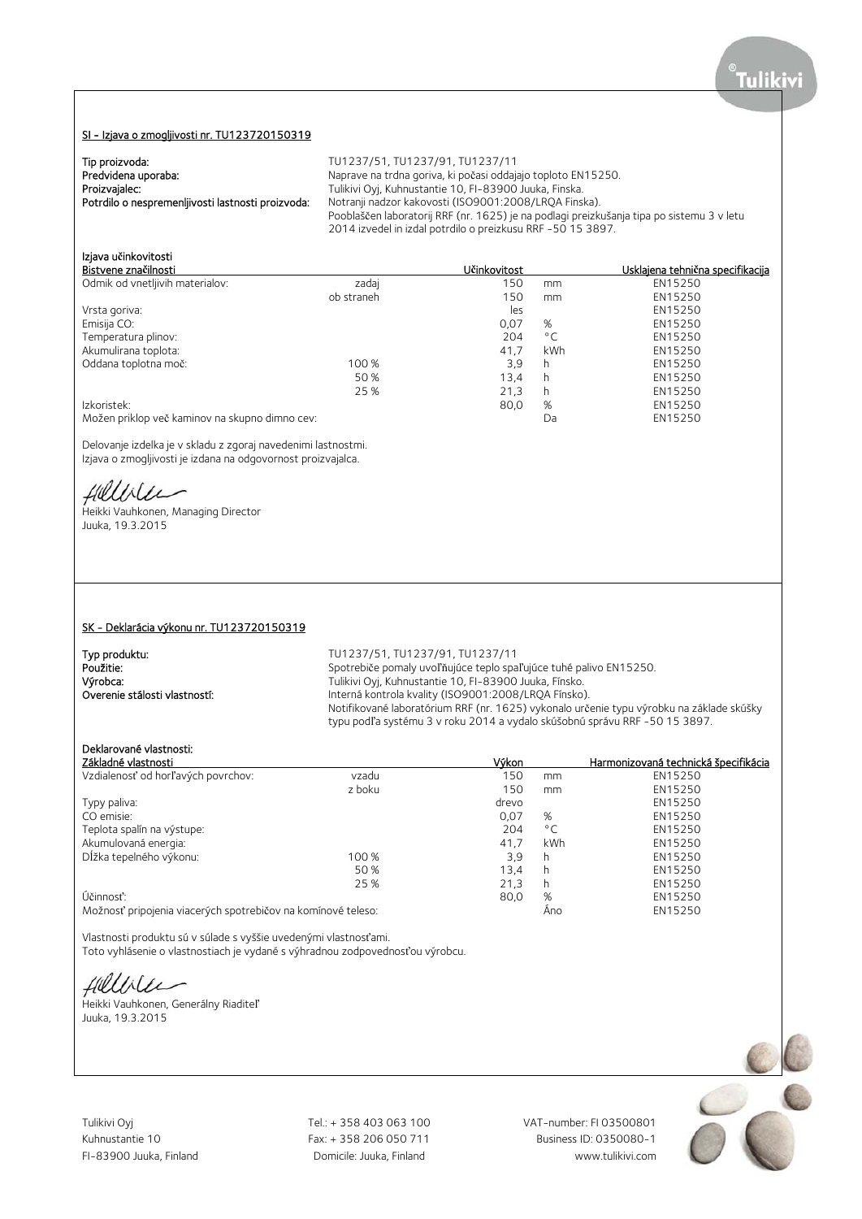# SI - Izjava o zmogljivosti nr. TU123720150319

Tip proizvoda:

| Predvidena uporaba:<br>Proizvajalec:<br>Potrdilo o nespremenljivosti lastnosti proizvoda:                                                         | Naprave na trdna goriva, ki počasi oddajajo toploto EN15250.<br>Tulikivi Oyj, Kuhnustantie 10, FI-83900 Juuka, Finska.<br>Notranji nadzor kakovosti (ISO9001:2008/LRQA Finska).<br>Pooblaščen laboratorij RRF (nr. 1625) je na podlagi preizkušanja tipa po sistemu 3 v letu<br>2014 izvedel in izdal potrdilo o preizkusu RRF -50 15 3897.                   |                             |                     |                                          |
|---------------------------------------------------------------------------------------------------------------------------------------------------|---------------------------------------------------------------------------------------------------------------------------------------------------------------------------------------------------------------------------------------------------------------------------------------------------------------------------------------------------------------|-----------------------------|---------------------|------------------------------------------|
| Izjava učinkovitosti<br>Bistvene značilnosti                                                                                                      |                                                                                                                                                                                                                                                                                                                                                               | Učinkovitost                |                     | Usklajena tehnična specifikacija         |
| Odmik od vnetljivih materialov:                                                                                                                   | zadaj<br>ob straneh                                                                                                                                                                                                                                                                                                                                           | 150<br>150<br>les           | mm<br>mm            | EN15250<br>EN15250<br>EN15250            |
| Vrsta goriva:<br>Emisija CO:<br>Temperatura plinov:                                                                                               |                                                                                                                                                                                                                                                                                                                                                               | 0,07<br>204                 | %<br>$^{\circ}$ C   | EN15250<br>EN15250                       |
| Akumulirana toplota:<br>Oddana toplotna moč:                                                                                                      | 100 %<br>50%<br>25 %                                                                                                                                                                                                                                                                                                                                          | 41,7<br>3,9<br>13,4<br>21,3 | kWh<br>h<br>h<br>h. | EN15250<br>EN15250<br>EN15250<br>EN15250 |
| Izkoristek:<br>Možen priklop več kaminov na skupno dimno cev:                                                                                     |                                                                                                                                                                                                                                                                                                                                                               | 80,0                        | %<br>Da             | EN15250<br>EN15250                       |
| Delovanje izdelka je v skladu z zgoraj navedenimi lastnostmi.<br>Izjava o zmogljivosti je izdana na odgovornost proizvajalca.                     |                                                                                                                                                                                                                                                                                                                                                               |                             |                     |                                          |
| Hillble                                                                                                                                           |                                                                                                                                                                                                                                                                                                                                                               |                             |                     |                                          |
| Heikki Vauhkonen, Managing Director<br>Juuka, 19.3.2015                                                                                           |                                                                                                                                                                                                                                                                                                                                                               |                             |                     |                                          |
| SK - Deklarácia výkonu nr. TU123720150319<br>Typ produktu:<br>Použitie:                                                                           | TU1237/51, TU1237/91, TU1237/11                                                                                                                                                                                                                                                                                                                               |                             |                     |                                          |
| Výrobca:<br>Overenie stálosti vlastností:                                                                                                         | Spotrebiče pomaly uvoľňujúce teplo spaľujúce tuhé palivo EN15250.<br>Tulikivi Oyj, Kuhnustantie 10, FI-83900 Juuka, Fínsko.<br>Interná kontrola kvality (ISO9001:2008/LRQA Fínsko).<br>Notifikované laboratórium RRF (nr. 1625) vykonalo určenie typu výrobku na základe skúšky<br>typu podľa systému 3 v roku 2014 a vydalo skúšobnú správu RRF -50 15 3897. |                             |                     |                                          |
| Deklarované vlastnosti:<br>Základné vlastnosti                                                                                                    |                                                                                                                                                                                                                                                                                                                                                               | <u>Výkon</u>                |                     | Harmonizovaná technická špecifikácia     |
| Vzdialenosť od horľavých povrchov:                                                                                                                | vzadu                                                                                                                                                                                                                                                                                                                                                         | 150                         | mm                  | EN15250                                  |
| Typy paliva:                                                                                                                                      | z boku                                                                                                                                                                                                                                                                                                                                                        | 150<br>drevo                | mm                  | EN15250<br>EN15250                       |
| CO emisie:                                                                                                                                        |                                                                                                                                                                                                                                                                                                                                                               | 0,07                        | %                   | EN15250                                  |
| Teplota spalín na výstupe:                                                                                                                        |                                                                                                                                                                                                                                                                                                                                                               | 204                         | $^{\circ}$ C        | EN15250                                  |
| Akumulovaná energia:                                                                                                                              |                                                                                                                                                                                                                                                                                                                                                               | 41,7                        | kWh                 | EN15250                                  |
| Dĺžka tepelného výkonu:                                                                                                                           | 100 %                                                                                                                                                                                                                                                                                                                                                         | 3,9                         | h.                  | EN15250                                  |
|                                                                                                                                                   | 50%                                                                                                                                                                                                                                                                                                                                                           | 13,4                        | h                   | EN15250                                  |
|                                                                                                                                                   | 25 %                                                                                                                                                                                                                                                                                                                                                          | 21,3                        | h.                  | EN15250                                  |
| Účinnosť:<br>Možnosť pripojenia viacerých spotrebičov na komínové teleso:                                                                         |                                                                                                                                                                                                                                                                                                                                                               | 80,0                        | %<br>Áno            | EN15250<br>EN15250                       |
| Vlastnosti produktu sú v súlade s vyššie uvedenými vlastnosťami.<br>Toto vyhlásenie o vlastnostiach je vydané s výhradnou zodpovednosťou výrobcu. |                                                                                                                                                                                                                                                                                                                                                               |                             |                     |                                          |
| fillble                                                                                                                                           |                                                                                                                                                                                                                                                                                                                                                               |                             |                     |                                          |
| Heikki Vauhkonen, Generálny Riaditeľ<br>Juuka, 19.3.2015                                                                                          |                                                                                                                                                                                                                                                                                                                                                               |                             |                     |                                          |

Tip proizvoda: TU1237/51, TU1237/91, TU1237/11

Tulikivi Oyj Tel.: + 358 403 063 100 VAT-number: FI 03500801